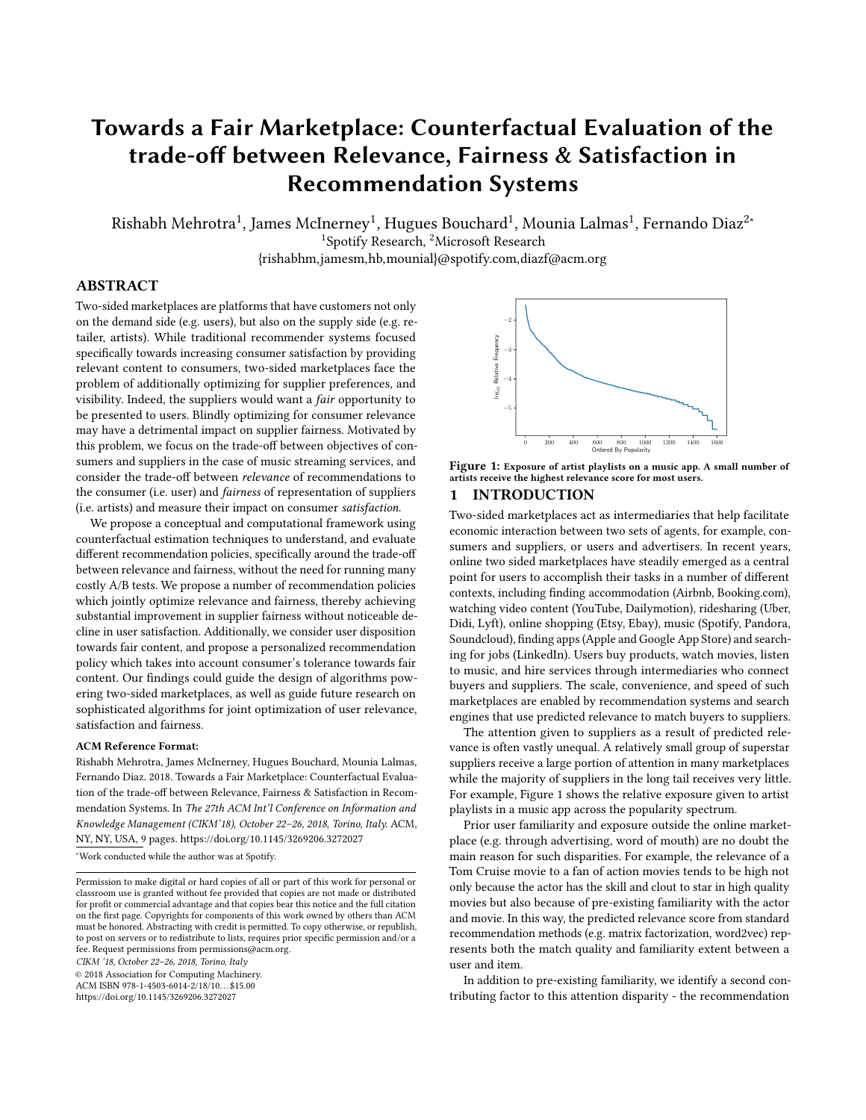# Towards a Fair Marketplace: Counterfactual Evaluation of the trade-off between Relevance, Fairness & Satisfaction in Recommendation Systems

Rishabh Mehrotra $^1$ , James McInerney $^1$ , Hugues Bouchard $^1$ , Mounia Lalmas $^1$ , Fernando Diaz $^{2\star}$ <sup>1</sup>Spotify Research, <sup>2</sup>Microsoft Research

{rishabhm,jamesm,hb,mounial}@spotify.com,diazf@acm.org

# ABSTRACT

Two-sided marketplaces are platforms that have customers not only on the demand side (e.g. users), but also on the supply side (e.g. retailer, artists). While traditional recommender systems focused specifically towards increasing consumer satisfaction by providing relevant content to consumers, two-sided marketplaces face the problem of additionally optimizing for supplier preferences, and visibility. Indeed, the suppliers would want a fair opportunity to be presented to users. Blindly optimizing for consumer relevance may have a detrimental impact on supplier fairness. Motivated by this problem, we focus on the trade-off between objectives of consumers and suppliers in the case of music streaming services, and consider the trade-off between relevance of recommendations to the consumer (i.e. user) and fairness of representation of suppliers (i.e. artists) and measure their impact on consumer satisfaction.

We propose a conceptual and computational framework using counterfactual estimation techniques to understand, and evaluate different recommendation policies, specifically around the trade-off between relevance and fairness, without the need for running many costly A/B tests. We propose a number of recommendation policies which jointly optimize relevance and fairness, thereby achieving substantial improvement in supplier fairness without noticeable decline in user satisfaction. Additionally, we consider user disposition towards fair content, and propose a personalized recommendation policy which takes into account consumer's tolerance towards fair content. Our findings could guide the design of algorithms powering two-sided marketplaces, as well as guide future research on sophisticated algorithms for joint optimization of user relevance, satisfaction and fairness.

#### ACM Reference Format:

Rishabh Mehrotra, James McInerney, Hugues Bouchard, Mounia Lalmas, Fernando Diaz. 2018. Towards a Fair Marketplace: Counterfactual Evaluation of the trade-off between Relevance, Fairness & Satisfaction in Recommendation Systems. In The 27th ACM Int'l Conference on Information and Knowledge Management (CIKM'18), October 22–26, 2018, Torino, Italy. ACM, NY, NY, USA, 9 pages. https://doi.org/10.1145/3269206.3272027 <sup>∗</sup>Work conducted while the author was at Spotify.

CIKM '18, October 22–26, 2018, Torino, Italy

© 2018 Association for Computing Machinery.

ACM ISBN 978-1-4503-6014-2/18/10...\$15.00 <https://doi.org/10.1145/3269206.3272027>

<span id="page-0-0"></span>

Figure 1: Exposure of artist playlists on a music app. A small number of artists receive the highest relevance score for most users.

## 1 INTRODUCTION

Two-sided marketplaces act as intermediaries that help facilitate economic interaction between two sets of agents, for example, consumers and suppliers, or users and advertisers. In recent years, online two sided marketplaces have steadily emerged as a central point for users to accomplish their tasks in a number of different contexts, including finding accommodation (Airbnb, Booking.com), watching video content (YouTube, Dailymotion), ridesharing (Uber, Didi, Lyft), online shopping (Etsy, Ebay), music (Spotify, Pandora, Soundcloud), finding apps (Apple and Google App Store) and searching for jobs (LinkedIn). Users buy products, watch movies, listen to music, and hire services through intermediaries who connect buyers and suppliers. The scale, convenience, and speed of such marketplaces are enabled by recommendation systems and search engines that use predicted relevance to match buyers to suppliers.

The attention given to suppliers as a result of predicted relevance is often vastly unequal. A relatively small group of superstar suppliers receive a large portion of attention in many marketplaces while the majority of suppliers in the long tail receives very little. For example, Figure [1](#page-0-0) shows the relative exposure given to artist playlists in a music app across the popularity spectrum.

Prior user familiarity and exposure outside the online marketplace (e.g. through advertising, word of mouth) are no doubt the main reason for such disparities. For example, the relevance of a Tom Cruise movie to a fan of action movies tends to be high not only because the actor has the skill and clout to star in high quality movies but also because of pre-existing familiarity with the actor and movie. In this way, the predicted relevance score from standard recommendation methods (e.g. matrix factorization, word2vec) represents both the match quality and familiarity extent between a user and item.

In addition to pre-existing familiarity, we identify a second contributing factor to this attention disparity - the recommendation

Permission to make digital or hard copies of all or part of this work for personal or classroom use is granted without fee provided that copies are not made or distributed for profit or commercial advantage and that copies bear this notice and the full citation on the first page. Copyrights for components of this work owned by others than ACM must be honored. Abstracting with credit is permitted. To copy otherwise, or republish, to post on servers or to redistribute to lists, requires prior specific permission and/or a fee. Request permissions from permissions@acm.org.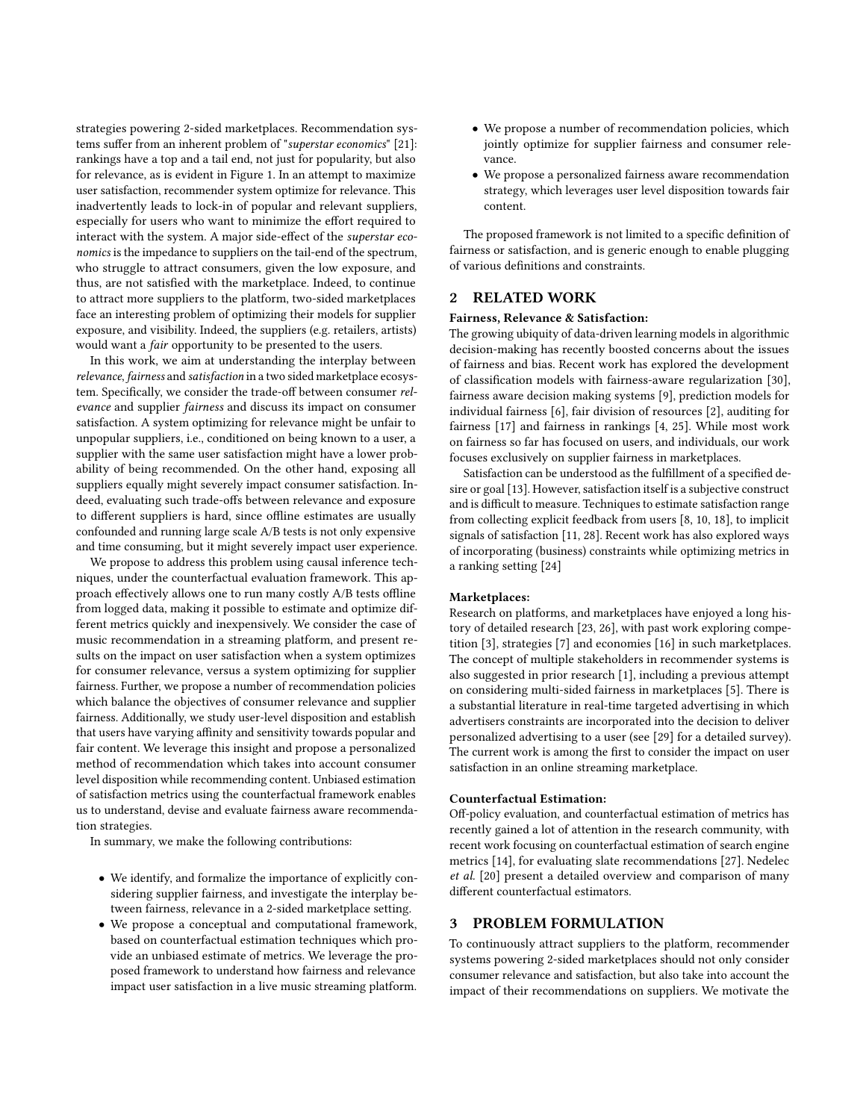strategies powering 2-sided marketplaces. Recommendation systems suffer from an inherent problem of "superstar economics" [\[21\]](#page-8-0): rankings have a top and a tail end, not just for popularity, but also for relevance, as is evident in Figure [1.](#page-0-0) In an attempt to maximize user satisfaction, recommender system optimize for relevance. This inadvertently leads to lock-in of popular and relevant suppliers, especially for users who want to minimize the effort required to interact with the system. A major side-effect of the superstar economics is the impedance to suppliers on the tail-end of the spectrum, who struggle to attract consumers, given the low exposure, and thus, are not satisfied with the marketplace. Indeed, to continue to attract more suppliers to the platform, two-sided marketplaces face an interesting problem of optimizing their models for supplier exposure, and visibility. Indeed, the suppliers (e.g. retailers, artists) would want a fair opportunity to be presented to the users.

In this work, we aim at understanding the interplay between relevance, fairness and satisfaction in a two sided marketplace ecosystem. Specifically, we consider the trade-off between consumer relevance and supplier fairness and discuss its impact on consumer satisfaction. A system optimizing for relevance might be unfair to unpopular suppliers, i.e., conditioned on being known to a user, a supplier with the same user satisfaction might have a lower probability of being recommended. On the other hand, exposing all suppliers equally might severely impact consumer satisfaction. Indeed, evaluating such trade-offs between relevance and exposure to different suppliers is hard, since offline estimates are usually confounded and running large scale A/B tests is not only expensive and time consuming, but it might severely impact user experience.

We propose to address this problem using causal inference techniques, under the counterfactual evaluation framework. This approach effectively allows one to run many costly A/B tests offline from logged data, making it possible to estimate and optimize different metrics quickly and inexpensively. We consider the case of music recommendation in a streaming platform, and present results on the impact on user satisfaction when a system optimizes for consumer relevance, versus a system optimizing for supplier fairness. Further, we propose a number of recommendation policies which balance the objectives of consumer relevance and supplier fairness. Additionally, we study user-level disposition and establish that users have varying affinity and sensitivity towards popular and fair content. We leverage this insight and propose a personalized method of recommendation which takes into account consumer level disposition while recommending content. Unbiased estimation of satisfaction metrics using the counterfactual framework enables us to understand, devise and evaluate fairness aware recommendation strategies.

In summary, we make the following contributions:

- We identify, and formalize the importance of explicitly considering supplier fairness, and investigate the interplay between fairness, relevance in a 2-sided marketplace setting.
- We propose a conceptual and computational framework, based on counterfactual estimation techniques which provide an unbiased estimate of metrics. We leverage the proposed framework to understand how fairness and relevance impact user satisfaction in a live music streaming platform.
- We propose a number of recommendation policies, which jointly optimize for supplier fairness and consumer relevance.
- We propose a personalized fairness aware recommendation strategy, which leverages user level disposition towards fair content.

The proposed framework is not limited to a specific definition of fairness or satisfaction, and is generic enough to enable plugging of various definitions and constraints.

#### 2 RELATED WORK

#### Fairness, Relevance & Satisfaction:

The growing ubiquity of data-driven learning models in algorithmic decision-making has recently boosted concerns about the issues of fairness and bias. Recent work has explored the development of classification models with fairness-aware regularization [\[30\]](#page-8-1), fairness aware decision making systems [\[9\]](#page-8-2), prediction models for individual fairness [\[6\]](#page-8-3), fair division of resources [\[2\]](#page-8-4), auditing for fairness [\[17\]](#page-8-5) and fairness in rankings [\[4,](#page-8-6) [25\]](#page-8-7). While most work on fairness so far has focused on users, and individuals, our work focuses exclusively on supplier fairness in marketplaces.

Satisfaction can be understood as the fulfillment of a specified desire or goal [\[13\]](#page-8-8). However, satisfaction itself is a subjective construct and is difficult to measure. Techniques to estimate satisfaction range from collecting explicit feedback from users [\[8,](#page-8-9) [10,](#page-8-10) [18\]](#page-8-11), to implicit signals of satisfaction [\[11,](#page-8-12) [28\]](#page-8-13). Recent work has also explored ways of incorporating (business) constraints while optimizing metrics in a ranking setting [\[24\]](#page-8-14)

#### Marketplaces:

Research on platforms, and marketplaces have enjoyed a long history of detailed research [\[23,](#page-8-15) [26\]](#page-8-16), with past work exploring competition [\[3\]](#page-8-17), strategies [\[7\]](#page-8-18) and economies [\[16\]](#page-8-19) in such marketplaces. The concept of multiple stakeholders in recommender systems is also suggested in prior research [\[1\]](#page-8-20), including a previous attempt on considering multi-sided fairness in marketplaces [\[5\]](#page-8-21). There is a substantial literature in real-time targeted advertising in which advertisers constraints are incorporated into the decision to deliver personalized advertising to a user (see [\[29\]](#page-8-22) for a detailed survey). The current work is among the first to consider the impact on user satisfaction in an online streaming marketplace.

#### Counterfactual Estimation:

Off-policy evaluation, and counterfactual estimation of metrics has recently gained a lot of attention in the research community, with recent work focusing on counterfactual estimation of search engine metrics [\[14\]](#page-8-23), for evaluating slate recommendations [\[27\]](#page-8-24). Nedelec et al. [\[20\]](#page-8-25) present a detailed overview and comparison of many different counterfactual estimators.

## 3 PROBLEM FORMULATION

To continuously attract suppliers to the platform, recommender systems powering 2-sided marketplaces should not only consider consumer relevance and satisfaction, but also take into account the impact of their recommendations on suppliers. We motivate the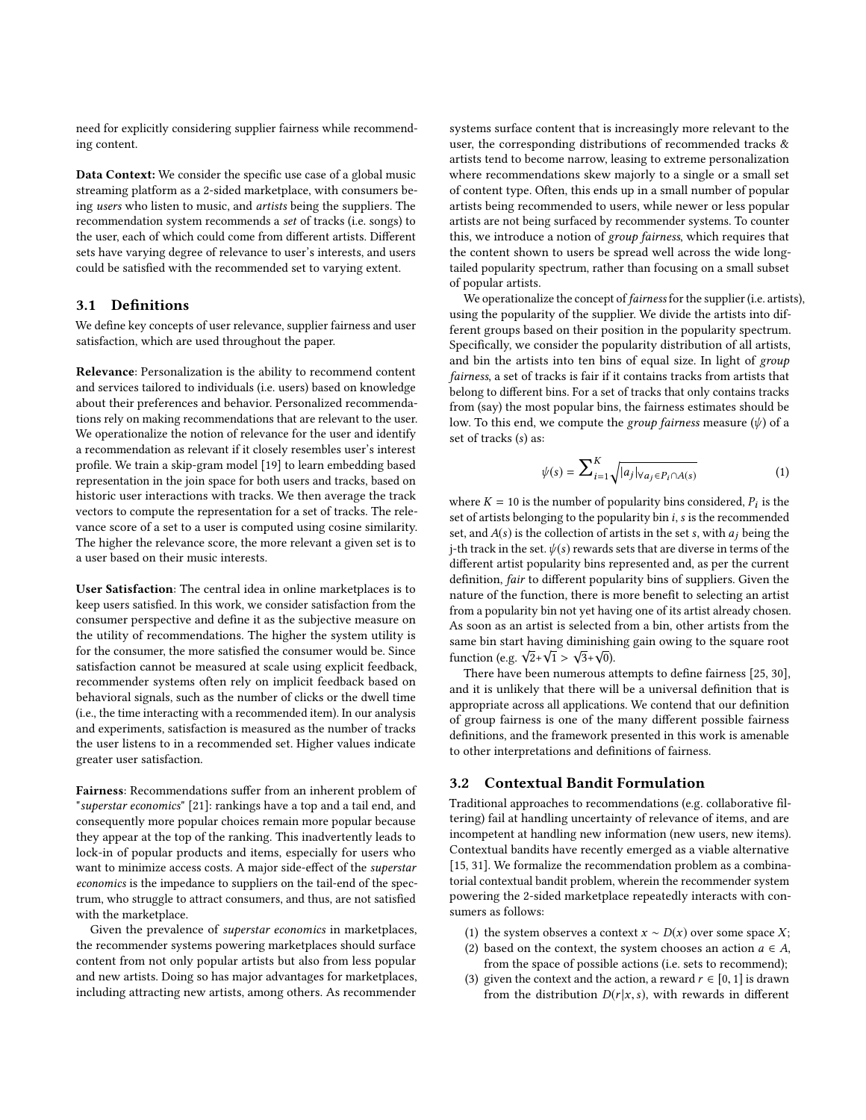need for explicitly considering supplier fairness while recommending content.

Data Context: We consider the specific use case of a global music streaming platform as a 2-sided marketplace, with consumers being users who listen to music, and artists being the suppliers. The recommendation system recommends a set of tracks (i.e. songs) to the user, each of which could come from different artists. Different sets have varying degree of relevance to user's interests, and users could be satisfied with the recommended set to varying extent.

## <span id="page-2-0"></span>3.1 Definitions

We define key concepts of user relevance, supplier fairness and user satisfaction, which are used throughout the paper.

Relevance: Personalization is the ability to recommend content and services tailored to individuals (i.e. users) based on knowledge about their preferences and behavior. Personalized recommendations rely on making recommendations that are relevant to the user. We operationalize the notion of relevance for the user and identify a recommendation as relevant if it closely resembles user's interest profile. We train a skip-gram model [\[19\]](#page-8-26) to learn embedding based representation in the join space for both users and tracks, based on historic user interactions with tracks. We then average the track vectors to compute the representation for a set of tracks. The relevance score of a set to a user is computed using cosine similarity. The higher the relevance score, the more relevant a given set is to a user based on their music interests.

User Satisfaction: The central idea in online marketplaces is to keep users satisfied. In this work, we consider satisfaction from the consumer perspective and define it as the subjective measure on the utility of recommendations. The higher the system utility is for the consumer, the more satisfied the consumer would be. Since satisfaction cannot be measured at scale using explicit feedback, recommender systems often rely on implicit feedback based on behavioral signals, such as the number of clicks or the dwell time (i.e., the time interacting with a recommended item). In our analysis and experiments, satisfaction is measured as the number of tracks the user listens to in a recommended set. Higher values indicate greater user satisfaction.

Fairness: Recommendations suffer from an inherent problem of "superstar economics" [\[21\]](#page-8-0): rankings have a top and a tail end, and consequently more popular choices remain more popular because they appear at the top of the ranking. This inadvertently leads to lock-in of popular products and items, especially for users who want to minimize access costs. A major side-effect of the superstar economics is the impedance to suppliers on the tail-end of the spectrum, who struggle to attract consumers, and thus, are not satisfied with the marketplace.

Given the prevalence of superstar economics in marketplaces, the recommender systems powering marketplaces should surface content from not only popular artists but also from less popular and new artists. Doing so has major advantages for marketplaces, including attracting new artists, among others. As recommender

systems surface content that is increasingly more relevant to the user, the corresponding distributions of recommended tracks & artists tend to become narrow, leasing to extreme personalization where recommendations skew majorly to a single or a small set of content type. Often, this ends up in a small number of popular artists being recommended to users, while newer or less popular artists are not being surfaced by recommender systems. To counter this, we introduce a notion of group fairness, which requires that the content shown to users be spread well across the wide longtailed popularity spectrum, rather than focusing on a small subset of popular artists.

We operationalize the concept of *fairness* for the supplier (i.e. artists), using the popularity of the supplier. We divide the artists into different groups based on their position in the popularity spectrum. Specifically, we consider the popularity distribution of all artists, and bin the artists into ten bins of equal size. In light of group fairness, a set of tracks is fair if it contains tracks from artists that belong to different bins. For a set of tracks that only contains tracks from (say) the most popular bins, the fairness estimates should be low. To this end, we compute the group fairness measure  $(\psi)$  of a set of tracks (s) as:

$$
\psi(s) = \sum_{i=1}^{K} \sqrt{|a_j| \sqrt{|a_j|} \exp(i \text{ and } a_j)} \tag{1}
$$

where  $K = 10$  is the number of popularity bins considered,  $P_i$  is the set of orticle belonging to the popularity bin i. s is the recommended set of artists belonging to the popularity bin  $i$ ,  $s$  is the recommended set, and  $A(s)$  is the collection of artists in the set s, with  $a_i$  being the j-th track in the set.  $\psi(s)$  rewards sets that are diverse in terms of the different artist popularity bins represented and, as per the current definition, fair to different popularity bins of suppliers. Given the nature of the function, there is more benefit to selecting an artist from a popularity bin not yet having one of its artist already chosen. As soon as an artist is selected from a bin, other artists from the same bin start having diminishing gain owing to the square root function (e.g.  $\sqrt{2} + \sqrt{1} > \sqrt{3} + \sqrt{0}$ ).<br>There have been numerous at

There have been numerous attempts to define fairness [\[25,](#page-8-7) [30\]](#page-8-1), and it is unlikely that there will be a universal definition that is appropriate across all applications. We contend that our definition of group fairness is one of the many different possible fairness definitions, and the framework presented in this work is amenable to other interpretations and definitions of fairness.

#### 3.2 Contextual Bandit Formulation

Traditional approaches to recommendations (e.g. collaborative filtering) fail at handling uncertainty of relevance of items, and are incompetent at handling new information (new users, new items). Contextual bandits have recently emerged as a viable alternative [\[15,](#page-8-27) [31\]](#page-8-28). We formalize the recommendation problem as a combinatorial contextual bandit problem, wherein the recommender system powering the 2-sided marketplace repeatedly interacts with consumers as follows:

- (1) the system observes a context  $x \sim D(x)$  over some space X;
- (2) based on the context, the system chooses an action  $a \in A$ , from the space of possible actions (i.e. sets to recommend);
- (3) given the context and the action, a reward  $r \in [0, 1]$  is drawn from the distribution  $D(r|x, s)$ , with rewards in different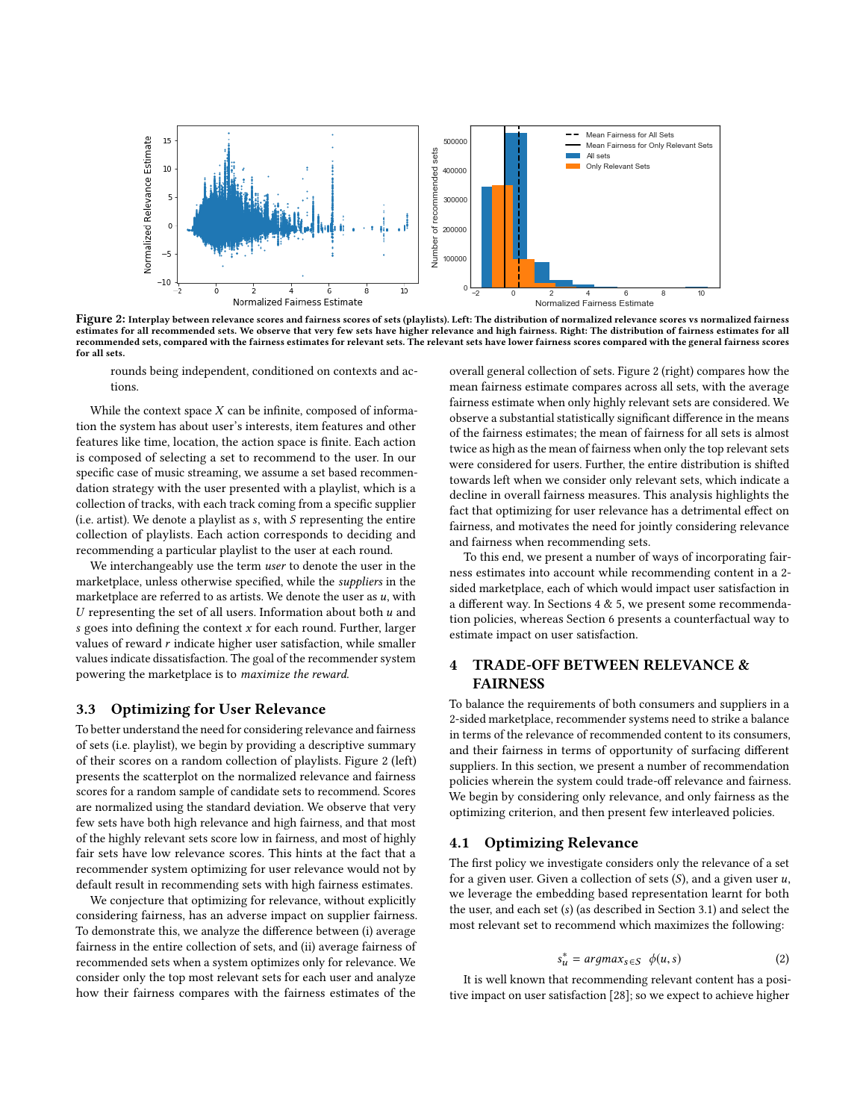<span id="page-3-0"></span>

Figure 2: Interplay between relevance scores and fairness scores of sets (playlists). Left: The distribution of normalized relevance scores vs normalized fairness estimates for all recommended sets. We observe that very few sets have higher relevance and high fairness. Right: The distribution of fairness estimates for all recommended sets, compared with the fairness estimates for relevant sets. The relevant sets have lower fairness scores compared with the general fairness scores for all sets.

rounds being independent, conditioned on contexts and actions.

While the context space  $X$  can be infinite, composed of information the system has about user's interests, item features and other features like time, location, the action space is finite. Each action is composed of selecting a set to recommend to the user. In our specific case of music streaming, we assume a set based recommendation strategy with the user presented with a playlist, which is a collection of tracks, with each track coming from a specific supplier (i.e. artist). We denote a playlist as  $s$ , with  $S$  representing the entire collection of playlists. Each action corresponds to deciding and recommending a particular playlist to the user at each round.

We interchangeably use the term user to denote the user in the marketplace, unless otherwise specified, while the suppliers in the marketplace are referred to as artists. We denote the user as  $u$ , with  $U$  representing the set of all users. Information about both  $u$  and s goes into defining the context  $x$  for each round. Further, larger values of reward  $r$  indicate higher user satisfaction, while smaller values indicate dissatisfaction. The goal of the recommender system powering the marketplace is to maximize the reward.

#### <span id="page-3-2"></span>3.3 Optimizing for User Relevance

To better understand the need for considering relevance and fairness of sets (i.e. playlist), we begin by providing a descriptive summary of their scores on a random collection of playlists. Figure [2](#page-3-0) (left) presents the scatterplot on the normalized relevance and fairness scores for a random sample of candidate sets to recommend. Scores are normalized using the standard deviation. We observe that very few sets have both high relevance and high fairness, and that most of the highly relevant sets score low in fairness, and most of highly fair sets have low relevance scores. This hints at the fact that a recommender system optimizing for user relevance would not by default result in recommending sets with high fairness estimates.

We conjecture that optimizing for relevance, without explicitly considering fairness, has an adverse impact on supplier fairness. To demonstrate this, we analyze the difference between (i) average fairness in the entire collection of sets, and (ii) average fairness of recommended sets when a system optimizes only for relevance. We consider only the top most relevant sets for each user and analyze how their fairness compares with the fairness estimates of the

overall general collection of sets. Figure [2](#page-3-0) (right) compares how the mean fairness estimate compares across all sets, with the average fairness estimate when only highly relevant sets are considered. We observe a substantial statistically significant difference in the means of the fairness estimates; the mean of fairness for all sets is almost twice as high as the mean of fairness when only the top relevant sets were considered for users. Further, the entire distribution is shifted towards left when we consider only relevant sets, which indicate a decline in overall fairness measures. This analysis highlights the fact that optimizing for user relevance has a detrimental effect on fairness, and motivates the need for jointly considering relevance and fairness when recommending sets.

To this end, we present a number of ways of incorporating fairness estimates into account while recommending content in a 2 sided marketplace, each of which would impact user satisfaction in a different way. In Sections [4](#page-3-1) & [5,](#page-4-0) we present some recommendation policies, whereas Section [6](#page-5-0) presents a counterfactual way to estimate impact on user satisfaction.

# <span id="page-3-1"></span>4 TRADE-OFF BETWEEN RELEVANCE & FAIRNESS

To balance the requirements of both consumers and suppliers in a 2-sided marketplace, recommender systems need to strike a balance in terms of the relevance of recommended content to its consumers, and their fairness in terms of opportunity of surfacing different suppliers. In this section, we present a number of recommendation policies wherein the system could trade-off relevance and fairness. We begin by considering only relevance, and only fairness as the optimizing criterion, and then present few interleaved policies.

## <span id="page-3-3"></span>4.1 Optimizing Relevance

The first policy we investigate considers only the relevance of a set for a given user. Given a collection of sets  $(S)$ , and a given user  $u$ , we leverage the embedding based representation learnt for both the user, and each set (s) (as described in Section [3.1\)](#page-2-0) and select the most relevant set to recommend which maximizes the following:

$$
s_u^* = argmax_{s \in S} \phi(u, s) \tag{2}
$$

 $s_u^* = argmax_{s \in S} \phi(u, s)$  (2)<br>It is well known that recommending relevant content has a positive impact on user satisfaction [\[28\]](#page-8-13); so we expect to achieve higher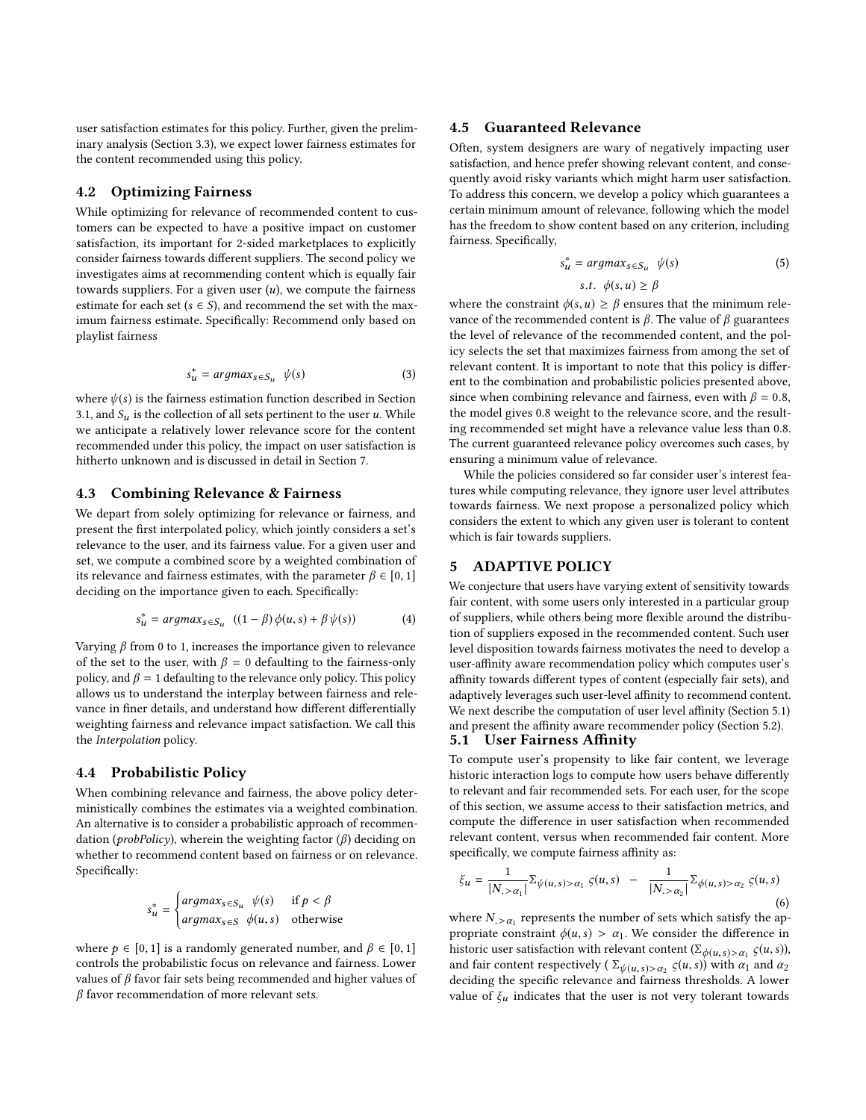user satisfaction estimates for this policy. Further, given the preliminary analysis (Section [3.3\)](#page-3-2), we expect lower fairness estimates for the content recommended using this policy.

## <span id="page-4-5"></span>4.2 Optimizing Fairness

While optimizing for relevance of recommended content to customers can be expected to have a positive impact on customer satisfaction, its important for 2-sided marketplaces to explicitly consider fairness towards different suppliers. The second policy we investigates aims at recommending content which is equally fair towards suppliers. For a given user  $(u)$ , we compute the fairness estimate for each set ( $s \in S$ ), and recommend the set with the maximum fairness estimate. Specifically: Recommend only based on playlist fairness

$$
s_u^* = argmax_{s \in S_u} \ \psi(s) \tag{3}
$$

where  $\psi(s)$  is the fairness estimation function described in Section [3.1,](#page-2-0) and  $S_u$  is the collection of all sets pertinent to the user u. While we anticipate a relatively lower relevance score for the content recommended under this policy, the impact on user satisfaction is hitherto unknown and is discussed in detail in Section [7.](#page-6-0)

## <span id="page-4-2"></span>4.3 Combining Relevance & Fairness

We depart from solely optimizing for relevance or fairness, and present the first interpolated policy, which jointly considers a set's relevance to the user, and its fairness value. For a given user and set, we compute a combined score by a weighted combination of its relevance and fairness estimates, with the parameter  $\beta \in [0, 1]$ deciding on the importance given to each. Specifically:

$$
s_u^* = argmax_{s \in S_u} ((1 - \beta) \phi(u, s) + \beta \psi(s))
$$
 (4)

Varying  $\beta$  from 0 to 1, increases the importance given to relevance of the set to the user, with  $\beta = 0$  defaulting to the fairness-only policy, and  $\beta = 1$  defaulting to the relevance only policy. This policy allows us to understand the interplay between fairness and relevance in finer details, and understand how different differentially weighting fairness and relevance impact satisfaction. We call this the Interpolation policy.

## <span id="page-4-3"></span>4.4 Probabilistic Policy

When combining relevance and fairness, the above policy deterministically combines the estimates via a weighted combination. An alternative is to consider a probabilistic approach of recommendation (*probPolicy*), wherein the weighting factor  $(\beta)$  deciding on whether to recommend content based on fairness or on relevance. Specifically:

$$
s_u^* = \begin{cases} argmax_{s \in S_u} & \text{if } p < \beta \\ argmax_{s \in S} & \phi(u, s) \quad \text{otherwise} \end{cases}
$$

where  $p \in [0, 1]$  is a randomly generated number, and  $\beta \in [0, 1]$ controls the probabilistic focus on relevance and fairness. Lower values of  $\beta$  favor fair sets being recommended and higher values of  $\beta$  favor recommendation of more relevant sets.

## <span id="page-4-4"></span>4.5 Guaranteed Relevance

Often, system designers are wary of negatively impacting user satisfaction, and hence prefer showing relevant content, and consequently avoid risky variants which might harm user satisfaction. To address this concern, we develop a policy which guarantees a certain minimum amount of relevance, following which the model has the freedom to show content based on any criterion, including fairness. Specifically,

$$
s_u^* = argmax_{s \in S_u} \ \psi(s) \tag{5}
$$

$$
s.t. \phi(s, u) \ge \beta
$$

where the constraint  $\phi(s, u) \ge \beta$  ensures that the minimum rele-<br>vance of the recommended content is  $\beta$ . The value of  $\beta$  guarantees vance of the recommended content is  $\beta$ . The value of  $\beta$  guarantees the level of relevance of the recommended content, and the policy selects the set that maximizes fairness from among the set of relevant content. It is important to note that this policy is different to the combination and probabilistic policies presented above, since when combining relevance and fairness, even with  $\beta = 0.8$ , the model gives 0.8 weight to the relevance score, and the resulting recommended set might have a relevance value less than 0.8. The current guaranteed relevance policy overcomes such cases, by ensuring a minimum value of relevance.

While the policies considered so far consider user's interest features while computing relevance, they ignore user level attributes towards fairness. We next propose a personalized policy which considers the extent to which any given user is tolerant to content which is fair towards suppliers.

# <span id="page-4-0"></span>5 ADAPTIVE POLICY

We conjecture that users have varying extent of sensitivity towards fair content, with some users only interested in a particular group of suppliers, while others being more flexible around the distribution of suppliers exposed in the recommended content. Such user level disposition towards fairness motivates the need to develop a user-affinity aware recommendation policy which computes user's affinity towards different types of content (especially fair sets), and adaptively leverages such user-level affinity to recommend content. We next describe the computation of user level affinity (Section [5.1\)](#page-4-1) and present the affinity aware recommender policy (Section [5.2\)](#page-5-1).

# <span id="page-4-1"></span>5.1 User Fairness Affinity

To compute user's propensity to like fair content, we leverage historic interaction logs to compute how users behave differently to relevant and fair recommended sets. For each user, for the scope of this section, we assume access to their satisfaction metrics, and compute the difference in user satisfaction when recommended relevant content, versus when recommended fair content. More specifically, we compute fairness affinity as:

$$
\xi_u = \frac{1}{|N_{0} - \alpha_1|} \sum_{\psi(u,s) > \alpha_1} \zeta(u,s) - \frac{1}{|N_{0} - \alpha_2|} \sum_{\psi(u,s) > \alpha_2} \zeta(u,s)
$$
\n(6)

where  $N_{\cdot > \alpha_1}$  represents the number of sets which satisfy the appropriate constraint  $\phi(u, \epsilon) \ge \alpha_1$ . We consider the difference in propriate constraint  $\phi(u, s) > \alpha_1$ . We consider the difference in historic user satisfaction with relevant content  $(\sum_{\phi(u,s) > \alpha_1} \zeta(u,s))$ ,<br>and fair content respectively  $(\sum_{u \in \mathcal{U}} \zeta(u,s))$ , with  $\alpha_1$  and  $\alpha_2$ and fair content respectively  $(\Sigma_{\psi(u,s) > \alpha_2} \varsigma(u,s))$  with  $\alpha_1$  and  $\alpha_2$ <br>deciding the specific relevance and fairness thresholds. A lower deciding the specific relevance and fairness thresholds. A lower value of  $\xi_u$  indicates that the user is not very tolerant towards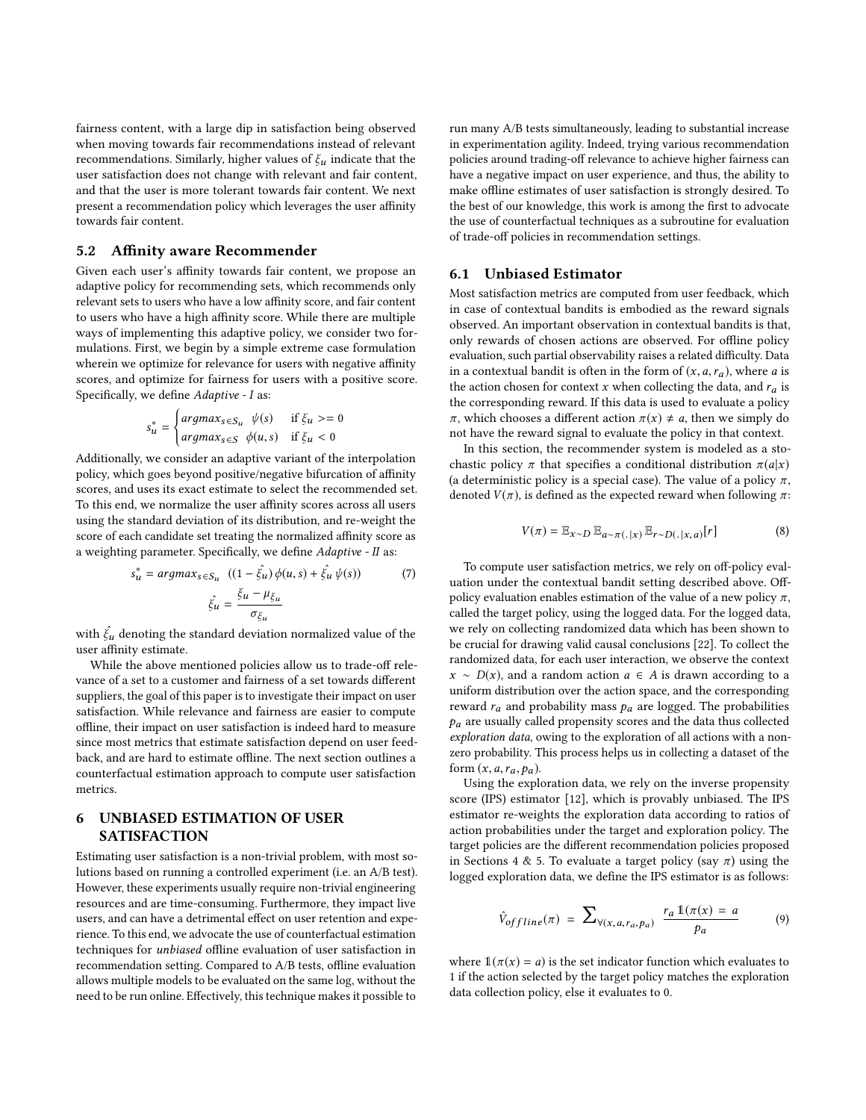fairness content, with a large dip in satisfaction being observed when moving towards fair recommendations instead of relevant recommendations. Similarly, higher values of  $\xi_u$  indicate that the user satisfaction does not change with relevant and fair content, and that the user is more tolerant towards fair content. We next present a recommendation policy which leverages the user affinity towards fair content.

## <span id="page-5-1"></span>5.2 Affinity aware Recommender

Given each user's affinity towards fair content, we propose an adaptive policy for recommending sets, which recommends only relevant sets to users who have a low affinity score, and fair content to users who have a high affinity score. While there are multiple ways of implementing this adaptive policy, we consider two formulations. First, we begin by a simple extreme case formulation wherein we optimize for relevance for users with negative affinity scores, and optimize for fairness for users with a positive score. Specifically, we define Adaptive - I as:

$$
s_u^* = \begin{cases} argmax_{s \in S_u} & \text{if } \xi_u > = 0\\ argmax_{s \in S} & \phi(u, s) \text{ if } \xi_u < 0 \end{cases}
$$

Additionally, we consider an adaptive variant of the interpolation policy, which goes beyond positive/negative bifurcation of affinity scores, and uses its exact estimate to select the recommended set. To this end, we normalize the user affinity scores across all users using the standard deviation of its distribution, and re-weight the score of each candidate set treating the normalized affinity score as a weighting parameter. Specifically, we define Adaptive - II as:

$$
s_u^* = \operatorname{argmax}_{s \in S_u} \quad ((1 - \hat{\xi}_u) \phi(u, s) + \hat{\xi}_u \psi(s)) \tag{7}
$$

$$
\hat{\xi}_u = \frac{\xi_u - \mu_{\xi_u}}{\sigma_{\xi_u}}
$$

with  $\hat{\xi_u}$  denoting the standard deviation normalized value of the user affinity estimate.

While the above mentioned policies allow us to trade-off relevance of a set to a customer and fairness of a set towards different suppliers, the goal of this paper is to investigate their impact on user satisfaction. While relevance and fairness are easier to compute offline, their impact on user satisfaction is indeed hard to measure since most metrics that estimate satisfaction depend on user feedback, and are hard to estimate offline. The next section outlines a counterfactual estimation approach to compute user satisfaction metrics.

# <span id="page-5-0"></span>6 UNBIASED ESTIMATION OF USER SATISFACTION

Estimating user satisfaction is a non-trivial problem, with most solutions based on running a controlled experiment (i.e. an A/B test). However, these experiments usually require non-trivial engineering resources and are time-consuming. Furthermore, they impact live users, and can have a detrimental effect on user retention and experience. To this end, we advocate the use of counterfactual estimation techniques for unbiased offline evaluation of user satisfaction in recommendation setting. Compared to A/B tests, offline evaluation allows multiple models to be evaluated on the same log, without the need to be run online. Effectively, this technique makes it possible to

run many A/B tests simultaneously, leading to substantial increase in experimentation agility. Indeed, trying various recommendation policies around trading-off relevance to achieve higher fairness can have a negative impact on user experience, and thus, the ability to make offline estimates of user satisfaction is strongly desired. To the best of our knowledge, this work is among the first to advocate the use of counterfactual techniques as a subroutine for evaluation of trade-off policies in recommendation settings.

#### 6.1 Unbiased Estimator

Most satisfaction metrics are computed from user feedback, which in case of contextual bandits is embodied as the reward signals observed. An important observation in contextual bandits is that, only rewards of chosen actions are observed. For offline policy evaluation, such partial observability raises a related difficulty. Data in a contextual bandit is often in the form of  $(x, a, r_a)$ , where a is the action chosen for context  $x$  when collecting the data, and  $r_a$  is the corresponding reward. If this data is used to evaluate a policy  $\pi$ , which chooses a different action  $\pi(x) \neq a$ , then we simply do not have the reward signal to evaluate the policy in that context.

In this section, the recommender system is modeled as a stochastic policy  $\pi$  that specifies a conditional distribution  $\pi(a|x)$ (a deterministic policy is a special case). The value of a policy  $\pi$ , denoted  $V(\pi)$ , is defined as the expected reward when following  $\pi$ :

$$
V(\pi) = \mathbb{E}_{x \sim D} \mathbb{E}_{a \sim \pi(.|x)} \mathbb{E}_{r \sim D(.|x,a)}[r] \tag{8}
$$

To compute user satisfaction metrics, we rely on off-policy evaluation under the contextual bandit setting described above. Offpolicy evaluation enables estimation of the value of a new policy  $\pi$ , called the target policy, using the logged data. For the logged data, we rely on collecting randomized data which has been shown to be crucial for drawing valid causal conclusions [\[22\]](#page-8-29). To collect the randomized data, for each user interaction, we observe the context  $x \sim D(x)$ , and a random action  $a \in A$  is drawn according to a uniform distribution over the action space, and the corresponding reward  $r_a$  and probability mass  $p_a$  are logged. The probabilities  $p_a$  are usually called propensity scores and the data thus collected exploration data, owing to the exploration of all actions with a nonzero probability. This process helps us in collecting a dataset of the form  $(x, a, r_a, p_a)$ .

Using the exploration data, we rely on the inverse propensity score (IPS) estimator [\[12\]](#page-8-30), which is provably unbiased. The IPS estimator re-weights the exploration data according to ratios of action probabilities under the target and exploration policy. The target policies are the different recommendation policies proposed in Sections [4](#page-3-1) & [5.](#page-4-0) To evaluate a target policy (say  $\pi$ ) using the logged exploration data, we define the IPS estimator is as follows:

$$
\hat{V}_{offline}(\pi) = \sum_{\forall (x, a, r_a, p_a)} \frac{r_a \, \mathbb{1}(\pi(x) = a)}{p_a} \tag{9}
$$

where  $\mathbb{1}(\pi(x) = a)$  is the set indicator function which evaluates to 1 if the action selected by the target policy matches the exploration data collection policy, else it evaluates to 0.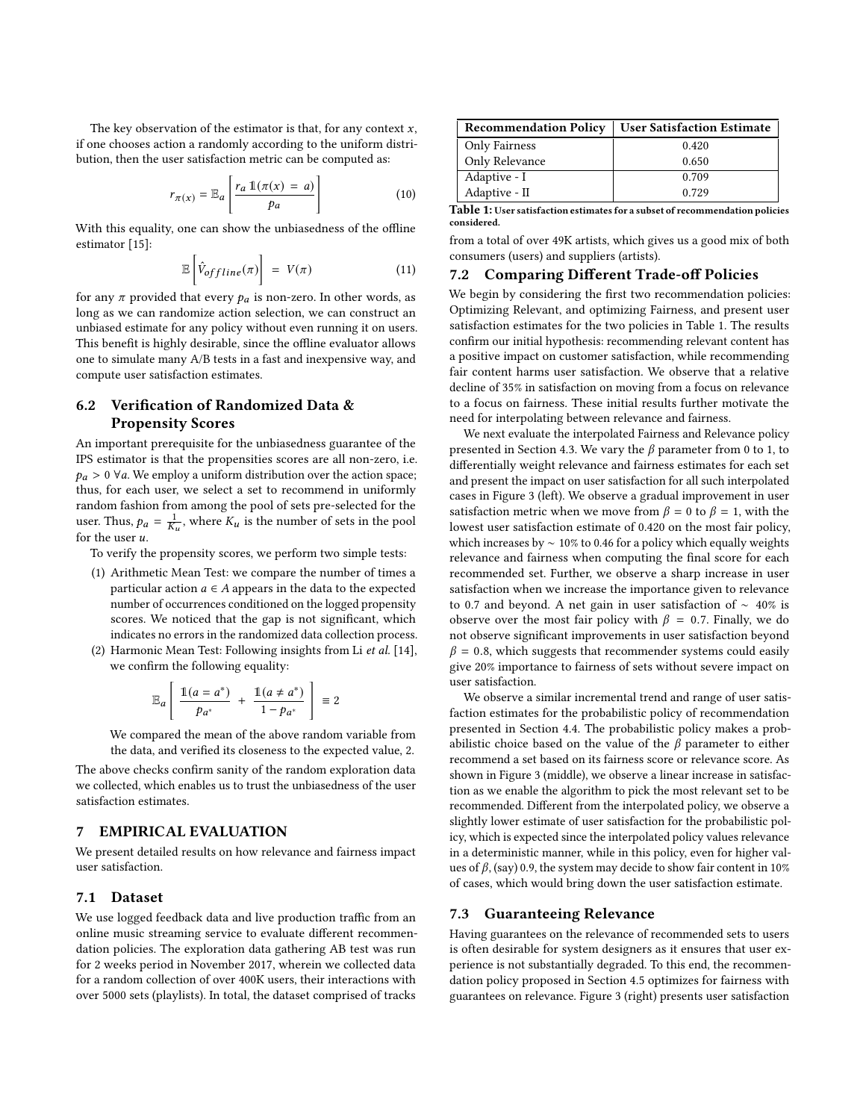The key observation of the estimator is that, for any context  $x$ , if one chooses action a randomly according to the uniform distribution, then the user satisfaction metric can be computed as:

$$
r_{\pi(x)} = \mathbb{E}_a \left[ \frac{r_a \, \mathbb{1}(\pi(x) = a)}{p_a} \right] \tag{10}
$$

With this equality, one can show the unbiasedness of the offline estimator [\[15\]](#page-8-27):

$$
\mathbb{E}\left[\hat{V}_{offline}(\pi)\right] = V(\pi) \tag{11}
$$

for any  $\pi$  provided that every  $p_a$  is non-zero. In other words, as long as we can randomize action selection, we can construct an unbiased estimate for any policy without even running it on users. This benefit is highly desirable, since the offline evaluator allows one to simulate many A/B tests in a fast and inexpensive way, and compute user satisfaction estimates.

## 6.2 Verification of Randomized Data & Propensity Scores

An important prerequisite for the unbiasedness guarantee of the IPS estimator is that the propensities scores are all non-zero, i.e.  $p_a > 0$   $\forall a$ . We employ a uniform distribution over the action space; thus, for each user, we select a set to recommend in uniformly random fashion from among the pool of sets pre-selected for the user. Thus,  $p_a = \frac{1}{K_a}$  $\frac{1}{K_u}$ , where  $K_u$  is the number of sets in the pool for the user  $u$ .

To verify the propensity scores, we perform two simple tests:

- (1) Arithmetic Mean Test: we compare the number of times a particular action  $a \in A$  appears in the data to the expected number of occurrences conditioned on the logged propensity scores. We noticed that the gap is not significant, which indicates no errors in the randomized data collection process.
- (2) Harmonic Mean Test: Following insights from Li et al. [\[14\]](#page-8-23), we confirm the following equality:

$$
\mathbb{E}_a \left[ \frac{1(a=a^*)}{p_{a^*}} + \frac{1(a \neq a^*)}{1-p_{a^*}} \right] \equiv 2
$$

We compared the mean of the above random variable from the data, and verified its closeness to the expected value, 2.

The above checks confirm sanity of the random exploration data we collected, which enables us to trust the unbiasedness of the user satisfaction estimates.

## <span id="page-6-0"></span>7 EMPIRICAL EVALUATION

We present detailed results on how relevance and fairness impact user satisfaction.

# 7.1 Dataset

We use logged feedback data and live production traffic from an online music streaming service to evaluate different recommendation policies. The exploration data gathering AB test was run for 2 weeks period in November 2017, wherein we collected data for a random collection of over 400K users, their interactions with over 5000 sets (playlists). In total, the dataset comprised of tracks

<span id="page-6-1"></span>

| <b>Recommendation Policy</b> | <b>User Satisfaction Estimate</b> |
|------------------------------|-----------------------------------|
| Only Fairness                | 0.420                             |
| Only Relevance               | 0.650                             |
| Adaptive - I                 | 0.709                             |
| Adaptive - II                | 0.729                             |

Table 1: User satisfaction estimates for a subset of recommendation policies considered.

from a total of over 49K artists, which gives us a good mix of both consumers (users) and suppliers (artists).

## 7.2 Comparing Different Trade-off Policies

We begin by considering the first two recommendation policies: Optimizing Relevant, and optimizing Fairness, and present user satisfaction estimates for the two policies in Table [1.](#page-6-1) The results confirm our initial hypothesis: recommending relevant content has a positive impact on customer satisfaction, while recommending fair content harms user satisfaction. We observe that a relative decline of 35% in satisfaction on moving from a focus on relevance to a focus on fairness. These initial results further motivate the need for interpolating between relevance and fairness.

We next evaluate the interpolated Fairness and Relevance policy presented in Section [4.3.](#page-4-2) We vary the  $\beta$  parameter from 0 to 1, to differentially weight relevance and fairness estimates for each set and present the impact on user satisfaction for all such interpolated cases in Figure [3](#page-7-0) (left). We observe a gradual improvement in user satisfaction metric when we move from  $\beta = 0$  to  $\beta = 1$ , with the lowest user satisfaction estimate of 0.420 on the most fair policy, which increases by ∼ 10% to 0.46 for a policy which equally weights relevance and fairness when computing the final score for each recommended set. Further, we observe a sharp increase in user satisfaction when we increase the importance given to relevance to 0.7 and beyond. A net gain in user satisfaction of ∼ 40% is observe over the most fair policy with  $\beta = 0.7$ . Finally, we do not observe significant improvements in user satisfaction beyond  $\beta$  = 0.8, which suggests that recommender systems could easily give 20% importance to fairness of sets without severe impact on user satisfaction.

We observe a similar incremental trend and range of user satisfaction estimates for the probabilistic policy of recommendation presented in Section [4.4.](#page-4-3) The probabilistic policy makes a probabilistic choice based on the value of the  $\beta$  parameter to either recommend a set based on its fairness score or relevance score. As shown in Figure [3](#page-7-0) (middle), we observe a linear increase in satisfaction as we enable the algorithm to pick the most relevant set to be recommended. Different from the interpolated policy, we observe a slightly lower estimate of user satisfaction for the probabilistic policy, which is expected since the interpolated policy values relevance in a deterministic manner, while in this policy, even for higher values of  $\beta$ , (say) 0.9, the system may decide to show fair content in 10% of cases, which would bring down the user satisfaction estimate.

#### 7.3 Guaranteeing Relevance

Having guarantees on the relevance of recommended sets to users is often desirable for system designers as it ensures that user experience is not substantially degraded. To this end, the recommendation policy proposed in Section [4.5](#page-4-4) optimizes for fairness with guarantees on relevance. Figure [3](#page-7-0) (right) presents user satisfaction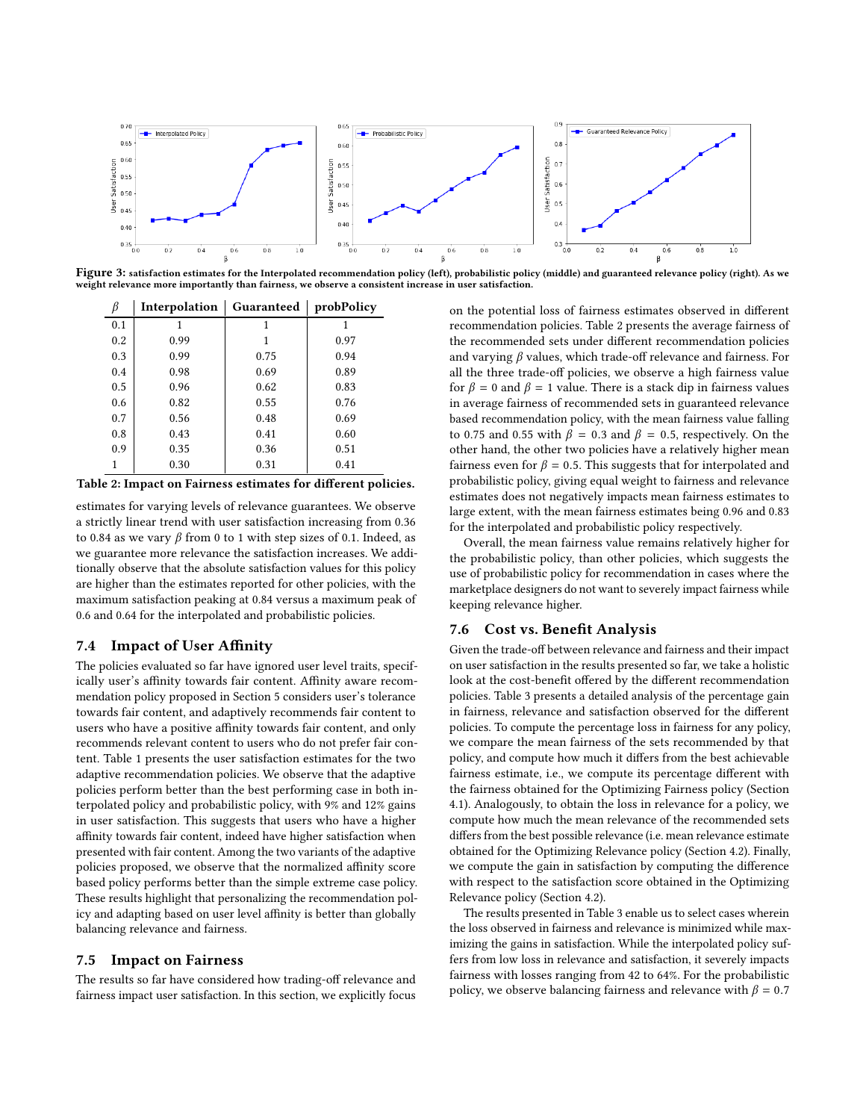<span id="page-7-0"></span>

<span id="page-7-1"></span>Figure 3: satisfaction estimates for the Interpolated recommendation policy (left), probabilistic policy (middle) and guaranteed relevance policy (right). As we weight relevance more importantly than fairness, we observe a consistent increase in user satisfaction.

|     | Interpolation | Guaranteed | probPolicy |
|-----|---------------|------------|------------|
| 0.1 |               | 1          |            |
| 0.2 | 0.99          |            | 0.97       |
| 0.3 | 0.99          | 0.75       | 0.94       |
| 0.4 | 0.98          | 0.69       | 0.89       |
| 0.5 | 0.96          | 0.62       | 0.83       |
| 0.6 | 0.82          | 0.55       | 0.76       |
| 0.7 | 0.56          | 0.48       | 0.69       |
| 0.8 | 0.43          | 0.41       | 0.60       |
| 0.9 | 0.35          | 0.36       | 0.51       |
| 1   | 0.30          | 0.31       | 0.41       |

Table 2: Impact on Fairness estimates for different policies.

estimates for varying levels of relevance guarantees. We observe a strictly linear trend with user satisfaction increasing from 0.36 to 0.84 as we vary  $β$  from 0 to 1 with step sizes of 0.1. Indeed, as we guarantee more relevance the satisfaction increases. We additionally observe that the absolute satisfaction values for this policy are higher than the estimates reported for other policies, with the maximum satisfaction peaking at 0.84 versus a maximum peak of 0.6 and 0.64 for the interpolated and probabilistic policies.

## 7.4 Impact of User Affinity

The policies evaluated so far have ignored user level traits, specifically user's affinity towards fair content. Affinity aware recommendation policy proposed in Section [5](#page-4-0) considers user's tolerance towards fair content, and adaptively recommends fair content to users who have a positive affinity towards fair content, and only recommends relevant content to users who do not prefer fair content. Table [1](#page-6-1) presents the user satisfaction estimates for the two adaptive recommendation policies. We observe that the adaptive policies perform better than the best performing case in both interpolated policy and probabilistic policy, with 9% and 12% gains in user satisfaction. This suggests that users who have a higher affinity towards fair content, indeed have higher satisfaction when presented with fair content. Among the two variants of the adaptive policies proposed, we observe that the normalized affinity score based policy performs better than the simple extreme case policy. These results highlight that personalizing the recommendation policy and adapting based on user level affinity is better than globally balancing relevance and fairness.

## 7.5 Impact on Fairness

The results so far have considered how trading-off relevance and fairness impact user satisfaction. In this section, we explicitly focus

on the potential loss of fairness estimates observed in different recommendation policies. Table [2](#page-7-1) presents the average fairness of the recommended sets under different recommendation policies and varying  $\beta$  values, which trade-off relevance and fairness. For all the three trade-off policies, we observe a high fairness value for  $\beta = 0$  and  $\beta = 1$  value. There is a stack dip in fairness values in average fairness of recommended sets in guaranteed relevance based recommendation policy, with the mean fairness value falling to 0.75 and 0.55 with  $\beta = 0.3$  and  $\beta = 0.5$ , respectively. On the other hand, the other two policies have a relatively higher mean fairness even for  $\beta = 0.5$ . This suggests that for interpolated and probabilistic policy, giving equal weight to fairness and relevance estimates does not negatively impacts mean fairness estimates to large extent, with the mean fairness estimates being 0.96 and 0.83 for the interpolated and probabilistic policy respectively.

Overall, the mean fairness value remains relatively higher for the probabilistic policy, than other policies, which suggests the use of probabilistic policy for recommendation in cases where the marketplace designers do not want to severely impact fairness while keeping relevance higher.

## 7.6 Cost vs. Benefit Analysis

Given the trade-off between relevance and fairness and their impact on user satisfaction in the results presented so far, we take a holistic look at the cost-benefit offered by the different recommendation policies. Table [3](#page-8-31) presents a detailed analysis of the percentage gain in fairness, relevance and satisfaction observed for the different policies. To compute the percentage loss in fairness for any policy, we compare the mean fairness of the sets recommended by that policy, and compute how much it differs from the best achievable fairness estimate, i.e., we compute its percentage different with the fairness obtained for the Optimizing Fairness policy (Section [4.1\)](#page-3-3). Analogously, to obtain the loss in relevance for a policy, we compute how much the mean relevance of the recommended sets differs from the best possible relevance (i.e. mean relevance estimate obtained for the Optimizing Relevance policy (Section [4.2\)](#page-4-5). Finally, we compute the gain in satisfaction by computing the difference with respect to the satisfaction score obtained in the Optimizing Relevance policy (Section [4.2\)](#page-4-5).

The results presented in Table [3](#page-8-31) enable us to select cases wherein the loss observed in fairness and relevance is minimized while maximizing the gains in satisfaction. While the interpolated policy suffers from low loss in relevance and satisfaction, it severely impacts fairness with losses ranging from 42 to 64%. For the probabilistic policy, we observe balancing fairness and relevance with  $\beta = 0.7$